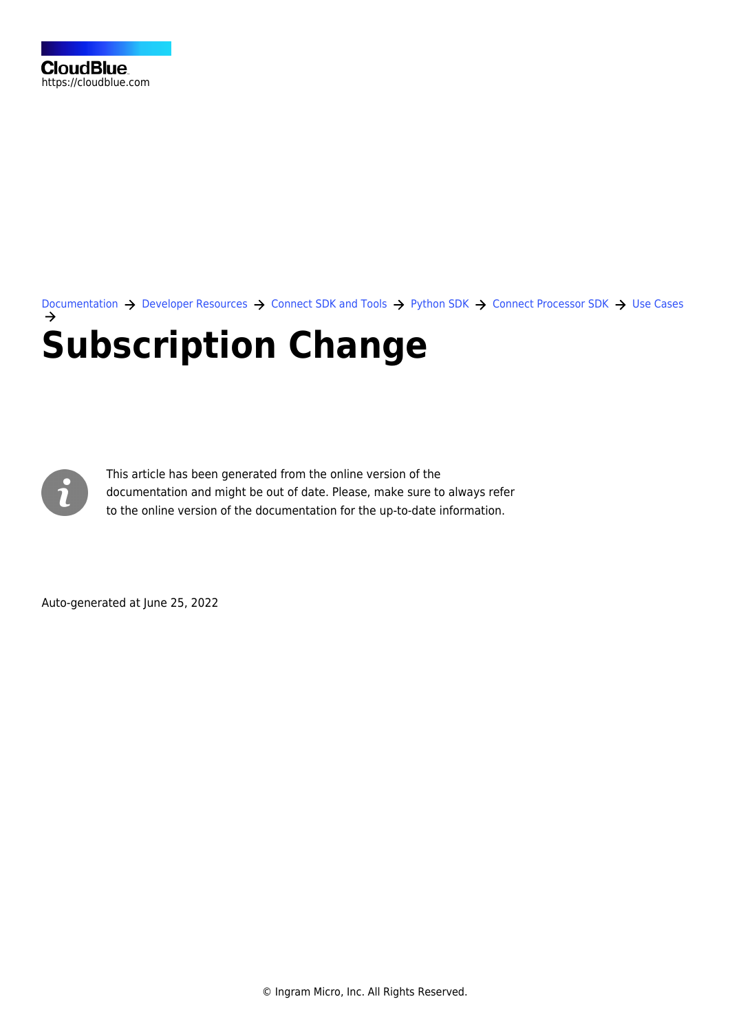[Documentation](https://connect.cloudblue.com/documentation)  $\rightarrow$  [Developer Resources](https://connect.cloudblue.com/community/developers/)  $\rightarrow$  [Connect SDK and Tools](https://connect.cloudblue.com/community/developers/sdk/)  $\rightarrow$  [Python SDK](https://connect.cloudblue.com/community/developers/sdk/python-sdk/)  $\rightarrow$  [Connect Processor SDK](https://connect.cloudblue.com/community/developers/sdk/python-sdk/connect-processor-sdk/)  $\rightarrow$  [Use Cases](https://connect.cloudblue.com/community/developers/sdk/python-sdk/connect-processor-sdk/use-cases/) **[Subscription Change](https://connect.cloudblue.com/community/developers/sdk/python-sdk/connect-processor-sdk/use-cases/subscription-change/)**



This article has been generated from the online version of the documentation and might be out of date. Please, make sure to always refer to the online version of the documentation for the up-to-date information.

Auto-generated at June 25, 2022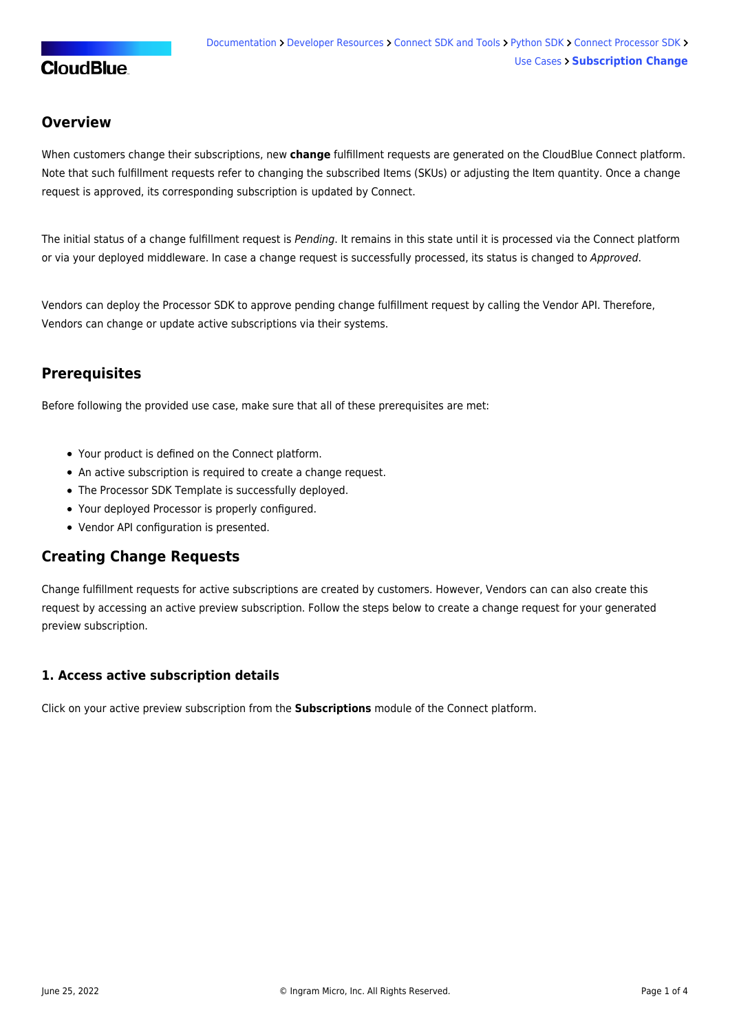## **CloudBlue**

## **Overview**

When customers change their subscriptions, new **change** fulfillment requests are generated on the CloudBlue Connect platform. Note that such fulfillment requests refer to changing the subscribed Items (SKUs) or adjusting the Item quantity. Once a change request is approved, its corresponding subscription is updated by Connect.

The initial status of a change fulfillment request is Pending. It remains in this state until it is processed via the Connect platform or via your deployed middleware. In case a change request is successfully processed, its status is changed to Approved.

Vendors can deploy the Processor SDK to approve pending change fulfillment request by calling the Vendor API. Therefore, Vendors can change or update active subscriptions via their systems.

## **Prerequisites**

Before following the provided use case, make sure that all of these prerequisites are met:

- Your [product](https://connect.cloudblue.com/community/modules/products/) is defined on the Connect platform.
- An active [subscription](https://connect.cloudblue.com/community/modules/subscriptions/) is required to create a change request.
- The [Processor SDK Template](https://connect.cloudblue.com/community/sdk/connect-processor-sdk/processor-template/) is successfully deployed.
- Your deployed Processor is [properly configured.](https://connect.cloudblue.com/community/sdk/connect-processor-sdk/configuration/)
- [Vendor API configuration](https://connect.cloudblue.com/community/sdk/connect-processor-sdk/configuration/#Connection_configuration) is presented.

### **Creating Change Requests**

Change fulfillment requests for active subscriptions are created by customers. However, Vendors can can also create this request by accessing an active preview subscription. Follow the steps below to create a change request for your generated preview subscription.

#### **1. Access active subscription details**

Click on your active preview subscription from the **Subscriptions** module of the Connect platform.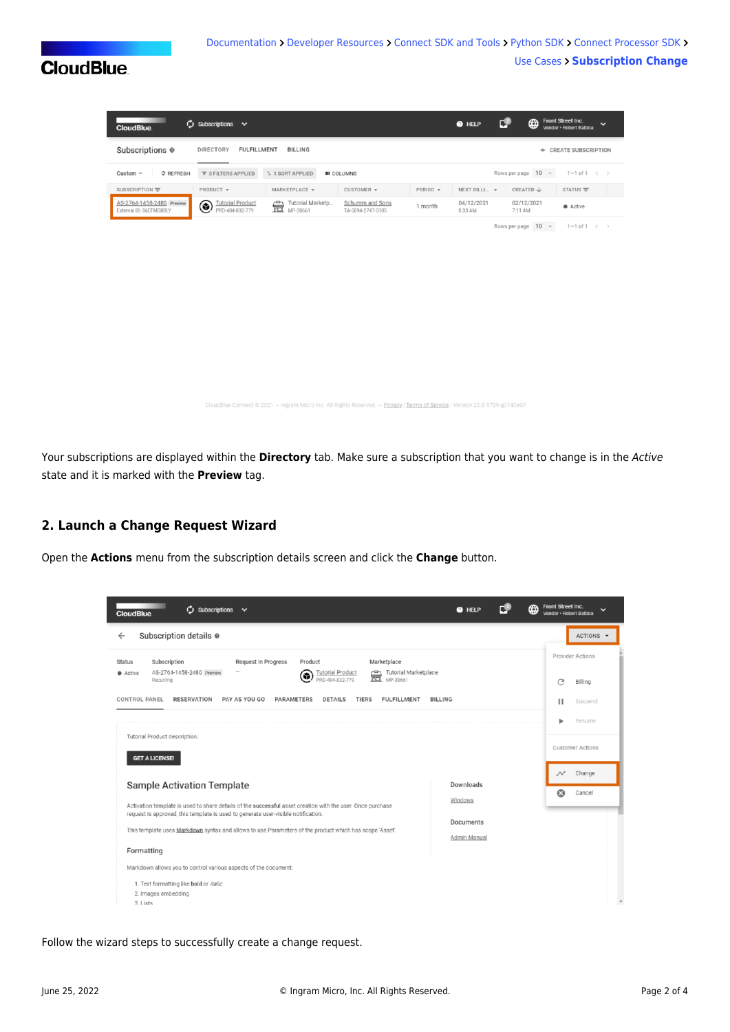# **CloudBlue**

nect © 2021 — Ingram Micro Inc. All Rights Reserved. — <u>Privacy</u> | <u>Terms of Service</u> - Version 22.0.1709-g0140e07

Your subscriptions are displayed within the **Directory** tab. Make sure a subscription that you want to change is in the Active state and it is marked with the **Preview** tag.

### **2. Launch a Change Request Wizard**

Open the **Actions** menu from the subscription details screen and click the **Change** button.

| ¢,<br>Subscriptions v<br><b>CloudBlue</b>                                                                                                                                                                                                                                                                                                                 | <b>@</b> HELP             | ⊕ | Front Street Inc.<br>Vendor · Robert Balboa                     |
|-----------------------------------------------------------------------------------------------------------------------------------------------------------------------------------------------------------------------------------------------------------------------------------------------------------------------------------------------------------|---------------------------|---|-----------------------------------------------------------------|
| Subscription details @<br>$\leftarrow$                                                                                                                                                                                                                                                                                                                    |                           |   | ACTIONS                                                         |
| Subscription<br>Request In Progress<br>Product<br>Marketplace<br><b>Status</b><br>AS-2764-1458-2480 Preview<br>Tutorial Marketplace<br><b>Tutorial Product</b><br>Active<br>6<br>PRD-404-832-779<br>Recurring<br>PAY AS YOU GO<br><b>CONTROL PANEL</b><br><b>RESERVATION</b><br><b>PARAMETERS</b><br><b>DETAILS</b><br><b>TIERS</b><br><b>FULFILLMENT</b> | <b>BILLING</b>            |   | Provider Actions<br>C<br>Billing<br>п<br>Suspend                |
| Tutorial Product description:<br><b>GET A LICENSE!</b>                                                                                                                                                                                                                                                                                                    |                           |   | Resume<br><b>Customer Actions</b>                               |
| <b>Sample Activation Template</b><br>Activation template is used to share details of the successful asset creation with the user. Once purchase<br>request is approved, this template is used to generate user-visible notification.                                                                                                                      | Downloads<br>Windows      |   | Change<br>$\rightsquigarrow$<br>$\boldsymbol{\Omega}$<br>Cancel |
| This template uses Markdown syntax and allows to use Parameters of the product which has scope 'Asset'.<br>Formatting                                                                                                                                                                                                                                     | Documents<br>Admin Manual |   |                                                                 |
| Markdown allows you to control various aspects of the document:<br>1. Text formatting like bold or italic<br>2. Images embedding<br>$3.1$ ists                                                                                                                                                                                                            |                           |   |                                                                 |

Follow the wizard steps to successfully create a change request.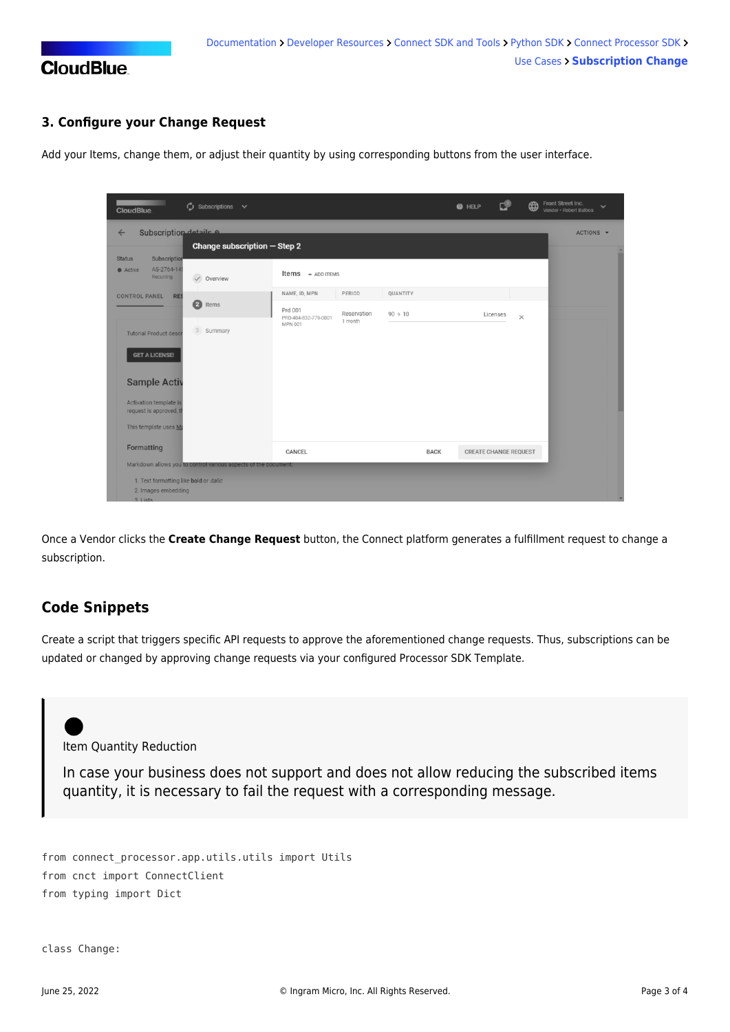

### **3. Configure your Change Request**

Add your Items, change them, or adjust their quantity by using corresponding buttons from the user interface.

| $\phi$ subscriptions $\vee$<br>CloudBlue.                                                    |                                                                | ں<br>⊕<br><b>O</b> HELP | Front Street Inc.<br>$\checkmark$<br>Vendor · Robert Balboa |
|----------------------------------------------------------------------------------------------|----------------------------------------------------------------|-------------------------|-------------------------------------------------------------|
| Subscription details a<br>$\leftarrow$                                                       |                                                                |                         | ACTIONS -                                                   |
| Change subscription $-$ Step 2                                                               |                                                                |                         |                                                             |
| Subscription<br><b>Status</b><br>AS-2764-145<br>Active<br>Recurring<br>$\checkmark$ Overview | <b>Items</b> $+$ ADD ITEMS                                     |                         |                                                             |
| <b>CONTROL PANEL</b><br><b>RES</b>                                                           | QUANTITY<br>NAME, ID, MPN<br>PERIOD                            |                         |                                                             |
| 2 Items                                                                                      | Prd 001<br>Reservation<br>$90 \div 10$<br>PRD-404-832-779-0001 | Licenses<br>$\times$    |                                                             |
| 3 Summary<br><b>Tutorial Product descr</b>                                                   | 1 month<br><b>MPN 001</b>                                      |                         |                                                             |
| <b>GET A LICENSE!</b>                                                                        |                                                                |                         |                                                             |
| <b>Sample Activ</b>                                                                          |                                                                |                         |                                                             |
| Activation template is<br>request is approved, th                                            |                                                                |                         |                                                             |
| This template uses Ma                                                                        |                                                                |                         |                                                             |
| Formatting                                                                                   | CANCEL<br><b>BACK</b>                                          | CREATE CHANGE REQUEST   |                                                             |
| Markdown allows you to control various aspects of the document:                              |                                                                |                         |                                                             |
| 1. Text formatting like bold or italic<br>2. Images embedding<br>3 liete                     |                                                                |                         |                                                             |

Once a Vendor clicks the **Create Change Request** button, the Connect platform generates a fulfillment request to change a subscription.

## **Code Snippets**

Create a script that triggers specific API requests to approve the aforementioned change requests. Thus, subscriptions can be updated or changed by approving change requests via your configured [Processor SDK Template](https://github.com/cloudblue/connect-processor-template-for-python).

Item Quantity Reduction

In case your business does not support and does not allow reducing the subscribed items quantity, it is necessary to fail the request with a corresponding message.

```
from connect processor.app.utils.utils import Utils
from cnct import ConnectClient
from typing import Dict
```

```
class Change:
```